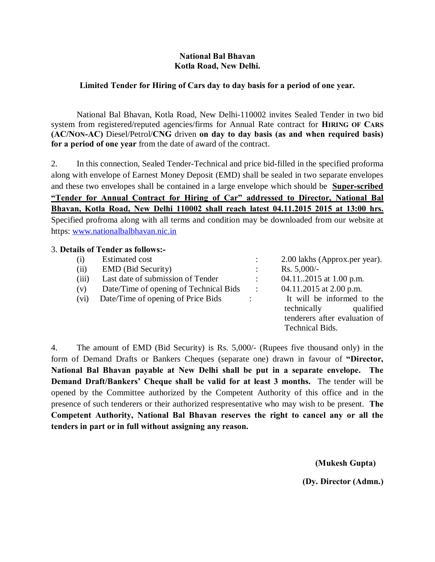#### **National Bal Bhavan Kotla Road, New Delhi.**

## **Limited Tender for Hiring of Cars day to day basis for a period of one year.**

National Bal Bhavan, Kotla Road, New Delhi-110002 invites Sealed Tender in two bid system from registered/reputed agencies/firms for Annual Rate contract for **HIRING OF CARS (AC/NON-AC)** Diesel/Petrol/**CNG** driven **on day to day basis (as and when required basis) for a period of one year** from the date of award of the contract.

2. In this connection, Sealed Tender-Technical and price bid-filled in the specified proforma along with envelope of Earnest Money Deposit (EMD) shall be sealed in two separate envelopes and these two envelopes shall be contained in a large envelope which should be **Super-scribed "Tender for Annual Contract for Hiring of Car" addressed to Director, National Bal Bhavan, Kotla Road, New Delhi 110002 shall reach latest 04.11.2015 2015 at 13:00 hrs.** Specified profroma along with all terms and condition may be downloaded from our website at https: www.nationalbalbhavan.nic.in

#### 3. **Details of Tender as follows:-**

| (i)   | <b>Estimated cost</b>                  |                      | 2.00 lakhs (Approx.per year). |  |
|-------|----------------------------------------|----------------------|-------------------------------|--|
| (ii)  | <b>EMD</b> (Bid Security)              |                      | $Rs. 5,000/-$                 |  |
| (iii) | Last date of submission of Tender      |                      | 04.112015 at 1.00 p.m.        |  |
| (v)   | Date/Time of opening of Technical Bids | $\ddot{\phantom{0}}$ | 04.11.2015 at 2.00 p.m.       |  |
| (vi)  | Date/Time of opening of Price Bids     |                      | It will be informed to the    |  |
|       |                                        |                      | technically<br>qualified      |  |
|       |                                        |                      | tenderers after evaluation of |  |
|       |                                        |                      | <b>Technical Bids.</b>        |  |

4. The amount of EMD (Bid Security) is Rs. 5,000/- (Rupees five thousand only) in the form of Demand Drafts or Bankers Cheques (separate one) drawn in favour of **"Director, National Bal Bhavan payable at New Delhi shall be put in a separate envelope. The Demand Draft/Bankers' Cheque shall be valid for at least 3 months.** The tender will be opened by the Committee authorized by the Competent Authority of this office and in the presence of such tenderers or their authorized respresentative who may wish to be present. **The Competent Authority, National Bal Bhavan reserves the right to cancel any or all the tenders in part or in full without assigning any reason.**

 **(Mukesh Gupta)**

**(Dy. Director (Admn.)**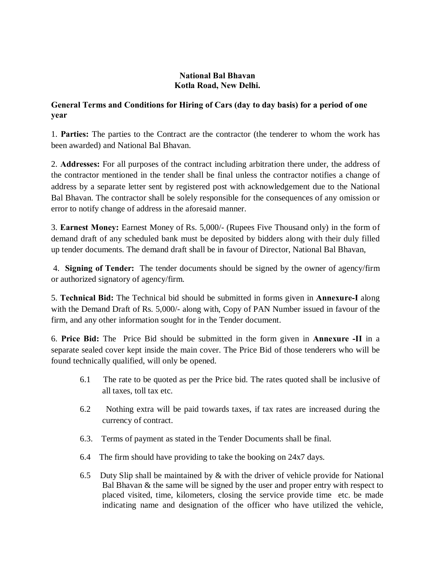## **National Bal Bhavan Kotla Road, New Delhi.**

# **General Terms and Conditions for Hiring of Cars (day to day basis) for a period of one year**

1. **Parties:** The parties to the Contract are the contractor (the tenderer to whom the work has been awarded) and National Bal Bhavan.

2. **Addresses:** For all purposes of the contract including arbitration there under, the address of the contractor mentioned in the tender shall be final unless the contractor notifies a change of address by a separate letter sent by registered post with acknowledgement due to the National Bal Bhavan. The contractor shall be solely responsible for the consequences of any omission or error to notify change of address in the aforesaid manner.

3. **Earnest Money:** Earnest Money of Rs. 5,000/- (Rupees Five Thousand only) in the form of demand draft of any scheduled bank must be deposited by bidders along with their duly filled up tender documents. The demand draft shall be in favour of Director, National Bal Bhavan,

4. **Signing of Tender:** The tender documents should be signed by the owner of agency/firm or authorized signatory of agency/firm.

5. **Technical Bid:** The Technical bid should be submitted in forms given in **Annexure-I** along with the Demand Draft of Rs. 5,000/- along with, Copy of PAN Number issued in favour of the firm, and any other information sought for in the Tender document.

6. **Price Bid:** The Price Bid should be submitted in the form given in **Annexure -II** in a separate sealed cover kept inside the main cover. The Price Bid of those tenderers who will be found technically qualified, will only be opened.

- 6.1 The rate to be quoted as per the Price bid. The rates quoted shall be inclusive of all taxes, toll tax etc.
- 6.2 Nothing extra will be paid towards taxes, if tax rates are increased during the currency of contract.
- 6.3. Terms of payment as stated in the Tender Documents shall be final.
- 6.4 The firm should have providing to take the booking on 24x7 days.
- 6.5 Duty Slip shall be maintained by  $&$  with the driver of vehicle provide for National Bal Bhavan & the same will be signed by the user and proper entry with respect to placed visited, time, kilometers, closing the service provide time etc. be made indicating name and designation of the officer who have utilized the vehicle,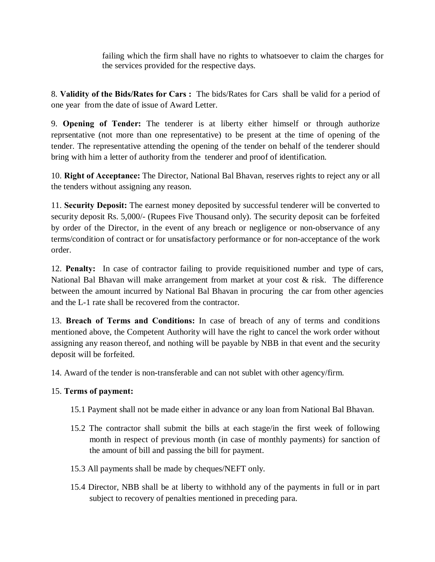failing which the firm shall have no rights to whatsoever to claim the charges for the services provided for the respective days.

8. **Validity of the Bids/Rates for Cars :** The bids/Rates for Cars shall be valid for a period of one year from the date of issue of Award Letter.

9. **Opening of Tender:** The tenderer is at liberty either himself or through authorize reprsentative (not more than one representative) to be present at the time of opening of the tender. The representative attending the opening of the tender on behalf of the tenderer should bring with him a letter of authority from the tenderer and proof of identification.

10. **Right of Acceptance:** The Director, National Bal Bhavan, reserves rights to reject any or all the tenders without assigning any reason.

11. **Security Deposit:** The earnest money deposited by successful tenderer will be converted to security deposit Rs. 5,000/- (Rupees Five Thousand only). The security deposit can be forfeited by order of the Director, in the event of any breach or negligence or non-observance of any terms/condition of contract or for unsatisfactory performance or for non-acceptance of the work order.

12. **Penalty:** In case of contractor failing to provide requisitioned number and type of cars, National Bal Bhavan will make arrangement from market at your cost & risk. The difference between the amount incurred by National Bal Bhavan in procuring the car from other agencies and the L-1 rate shall be recovered from the contractor.

13. **Breach of Terms and Conditions:** In case of breach of any of terms and conditions mentioned above, the Competent Authority will have the right to cancel the work order without assigning any reason thereof, and nothing will be payable by NBB in that event and the security deposit will be forfeited.

14. Award of the tender is non-transferable and can not sublet with other agency/firm.

# 15. **Terms of payment:**

- 15.1 Payment shall not be made either in advance or any loan from National Bal Bhavan.
- 15.2 The contractor shall submit the bills at each stage/in the first week of following month in respect of previous month (in case of monthly payments) for sanction of the amount of bill and passing the bill for payment.
- 15.3 All payments shall be made by cheques/NEFT only.
- 15.4 Director, NBB shall be at liberty to withhold any of the payments in full or in part subject to recovery of penalties mentioned in preceding para.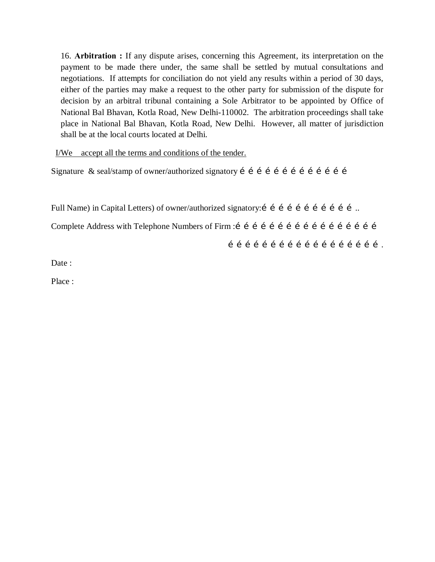16. **Arbitration :** If any dispute arises, concerning this Agreement, its interpretation on the payment to be made there under, the same shall be settled by mutual consultations and negotiations. If attempts for conciliation do not yield any results within a period of 30 days, either of the parties may make a request to the other party for submission of the dispute for decision by an arbitral tribunal containing a Sole Arbitrator to be appointed by Office of National Bal Bhavan, Kotla Road, New Delhi-110002. The arbitration proceedings shall take place in National Bal Bhavan, Kotla Road, New Delhi. However, all matter of jurisdiction shall be at the local courts located at Delhi.

I/We accept all the terms and conditions of the tender.

Signature & seal/stamp of owner/authorized signatory  $i$  i i i i i i i i i i i i i i i

Full Name) in Capital Letters) of owner/authorized signatory: i i i i i i i i i i i i i ... Complete Address with Telephone Numbers of Firm :…………………………………………… ……………………………………………….

Date:

Place :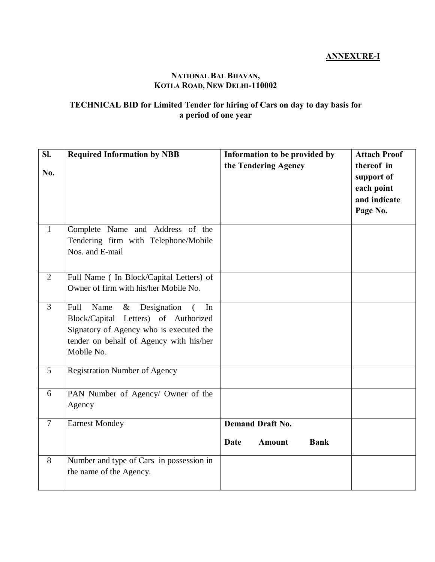# **ANNEXURE-I**

# **NATIONAL BAL BHAVAN, KOTLA ROAD, NEW DELHI-110002**

## **TECHNICAL BID for Limited Tender for hiring of Cars on day to day basis for a period of one year**

| SI.<br>No.     | <b>Required Information by NBB</b>                                                                                                                                                                | Information to be provided by<br>the Tendering Agency           | <b>Attach Proof</b><br>thereof in<br>support of<br>each point<br>and indicate<br>Page No. |
|----------------|---------------------------------------------------------------------------------------------------------------------------------------------------------------------------------------------------|-----------------------------------------------------------------|-------------------------------------------------------------------------------------------|
| $\mathbf{1}$   | Complete Name and Address of the<br>Tendering firm with Telephone/Mobile<br>Nos. and E-mail                                                                                                       |                                                                 |                                                                                           |
| 2              | Full Name (In Block/Capital Letters) of<br>Owner of firm with his/her Mobile No.                                                                                                                  |                                                                 |                                                                                           |
| $\overline{3}$ | Designation<br>Full<br>Name<br>$\&$<br>In<br>$\left($<br>Block/Capital Letters) of Authorized<br>Signatory of Agency who is executed the<br>tender on behalf of Agency with his/her<br>Mobile No. |                                                                 |                                                                                           |
| 5              | <b>Registration Number of Agency</b>                                                                                                                                                              |                                                                 |                                                                                           |
| 6              | PAN Number of Agency/ Owner of the<br>Agency                                                                                                                                                      |                                                                 |                                                                                           |
| $\overline{7}$ | <b>Earnest Mondey</b>                                                                                                                                                                             | <b>Demand Draft No.</b><br><b>Bank</b><br><b>Amount</b><br>Date |                                                                                           |
| 8              | Number and type of Cars in possession in<br>the name of the Agency.                                                                                                                               |                                                                 |                                                                                           |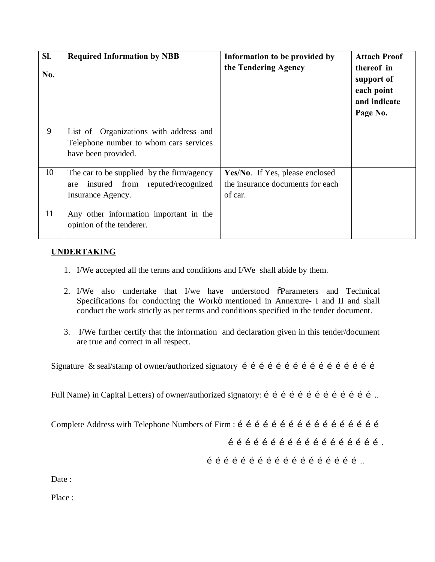| SI.<br>No. | <b>Required Information by NBB</b>                                                                       | Information to be provided by<br>the Tendering Agency                          | <b>Attach Proof</b><br>thereof in<br>support of<br>each point<br>and indicate<br>Page No. |
|------------|----------------------------------------------------------------------------------------------------------|--------------------------------------------------------------------------------|-------------------------------------------------------------------------------------------|
| 9          | List of Organizations with address and<br>Telephone number to whom cars services<br>have been provided.  |                                                                                |                                                                                           |
| 10         | The car to be supplied by the firm/agency<br>insured from reputed/recognized<br>are<br>Insurance Agency. | Yes/No. If Yes, please enclosed<br>the insurance documents for each<br>of car. |                                                                                           |
| 11         | Any other information important in the<br>opinion of the tenderer.                                       |                                                                                |                                                                                           |

# **UNDERTAKING**

- 1. I/We accepted all the terms and conditions and I/We shall abide by them.
- 2. I/We also undertake that I/we have understood  $\delta$ Parameters and Technical Specifications for conducting the Workö mentioned in Annexure- I and II and shall conduct the work strictly as per terms and conditions specified in the tender document.
- 3. I/We further certify that the information and declaration given in this tender/document are true and correct in all respect.

Signature & seal/stamp of owner/authorized signatory  $f \circ f \circ f \circ f \circ f \circ f \circ f \circ f \circ f$ 

Full Name) in Capital Letters) of owner/authorized signatory: í í í í í í í í í í í í í í í í …

Complete Address with Telephone Numbers of Firm : ……………………………………………

……………………………………………….

………………………………………………..

Date:

Place :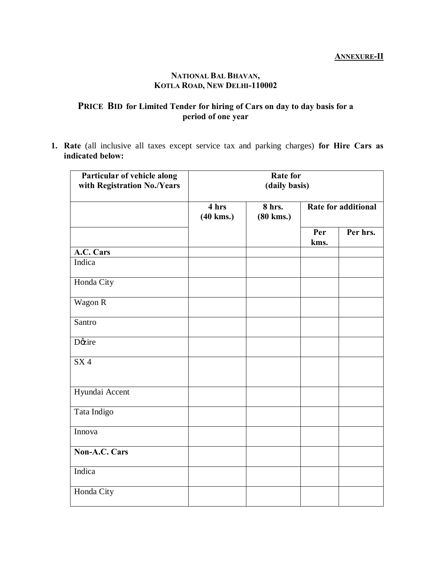## **ANNEXURE-II**

#### **NATIONAL BAL BHAVAN, KOTLA ROAD, NEW DELHI-110002**

# **PRICE BID for Limited Tender for hiring of Cars on day to day basis for a period of one year**

**1. Rate** (all inclusive all taxes except service tax and parking charges) **for Hire Cars as indicated below:**

| Particular of vehicle along<br>with Registration No./Years | <b>Rate for</b><br>(daily basis) |                             |             |                            |  |  |
|------------------------------------------------------------|----------------------------------|-----------------------------|-------------|----------------------------|--|--|
|                                                            | 4 hrs<br>$(40 \text{ km})$       | 8 hrs.<br>$(80 \text{ km})$ |             | <b>Rate for additional</b> |  |  |
|                                                            |                                  |                             | Per<br>kms. | Per hrs.                   |  |  |
| A.C. Cars                                                  |                                  |                             |             |                            |  |  |
| Indica                                                     |                                  |                             |             |                            |  |  |
| Honda City                                                 |                                  |                             |             |                            |  |  |
| Wagon R                                                    |                                  |                             |             |                            |  |  |
| Santro                                                     |                                  |                             |             |                            |  |  |
| Døzire                                                     |                                  |                             |             |                            |  |  |
| SX4                                                        |                                  |                             |             |                            |  |  |
| Hyundai Accent                                             |                                  |                             |             |                            |  |  |
| Tata Indigo                                                |                                  |                             |             |                            |  |  |
| Innova                                                     |                                  |                             |             |                            |  |  |
| Non-A.C. Cars                                              |                                  |                             |             |                            |  |  |
| Indica                                                     |                                  |                             |             |                            |  |  |
| Honda City                                                 |                                  |                             |             |                            |  |  |